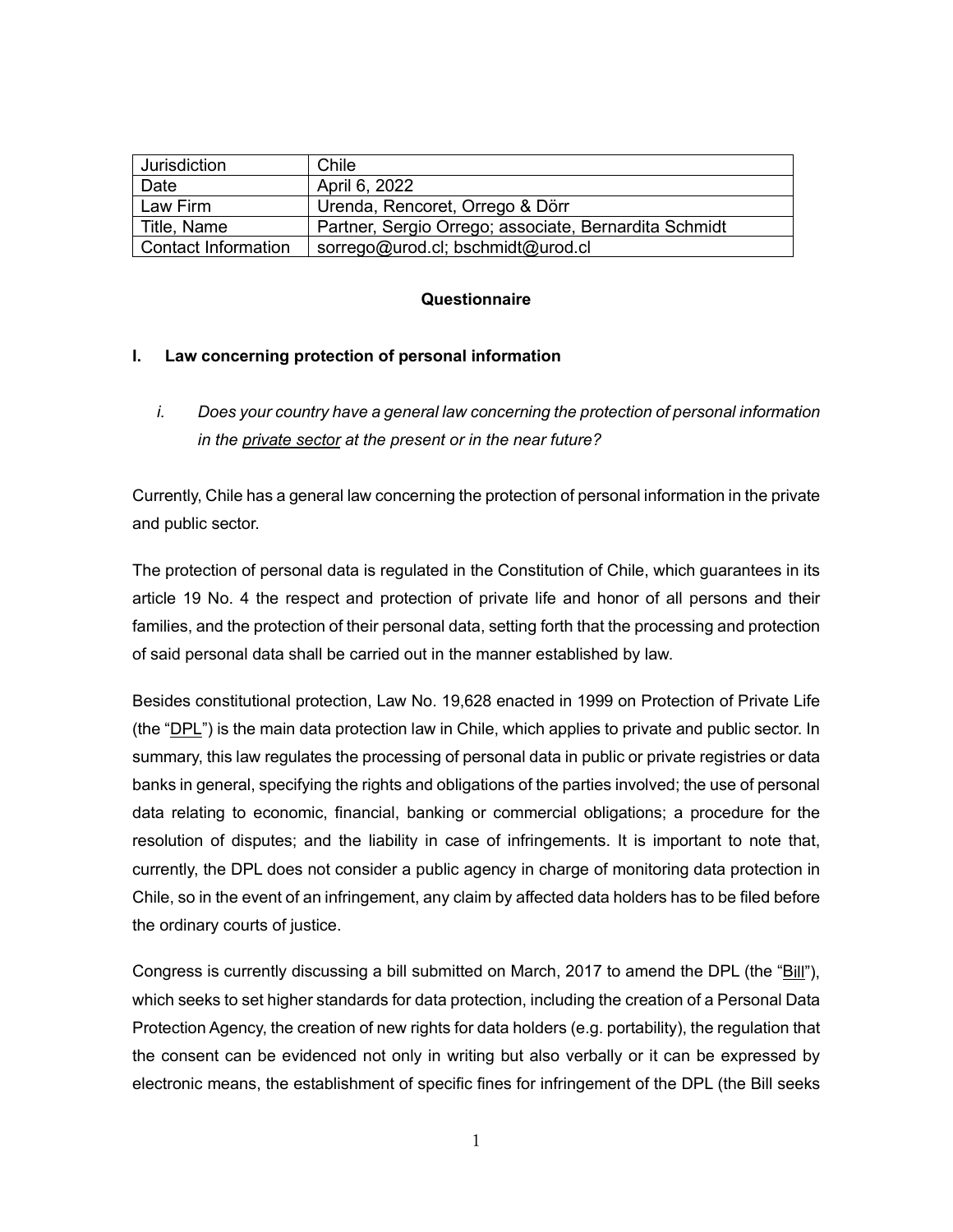| Jurisdiction        | Chile                                                 |
|---------------------|-------------------------------------------------------|
| Date                | April 6, 2022                                         |
| Law Firm            | Urenda, Rencoret, Orrego & Dörr                       |
| Title, Name         | Partner, Sergio Orrego; associate, Bernardita Schmidt |
| Contact Information | sorrego@urod.cl; bschmidt@urod.cl                     |

## **Questionnaire**

### **I. Law concerning protection of personal information**

*i. Does your country have a general law concerning the protection of personal information in the private sector at the present or in the near future?* 

Currently, Chile has a general law concerning the protection of personal information in the private and public sector.

The protection of personal data is regulated in the Constitution of Chile, which guarantees in its article 19 No. 4 the respect and protection of private life and honor of all persons and their families, and the protection of their personal data, setting forth that the processing and protection of said personal data shall be carried out in the manner established by law.

Besides constitutional protection, Law No. 19,628 enacted in 1999 on Protection of Private Life (the "DPL") is the main data protection law in Chile, which applies to private and public sector. In summary, this law regulates the processing of personal data in public or private registries or data banks in general, specifying the rights and obligations of the parties involved; the use of personal data relating to economic, financial, banking or commercial obligations; a procedure for the resolution of disputes; and the liability in case of infringements. It is important to note that, currently, the DPL does not consider a public agency in charge of monitoring data protection in Chile, so in the event of an infringement, any claim by affected data holders has to be filed before the ordinary courts of justice.

Congress is currently discussing a bill submitted on March, 2017 to amend the DPL (the "Bill"), which seeks to set higher standards for data protection, including the creation of a Personal Data Protection Agency, the creation of new rights for data holders (e.g. portability), the regulation that the consent can be evidenced not only in writing but also verbally or it can be expressed by electronic means, the establishment of specific fines for infringement of the DPL (the Bill seeks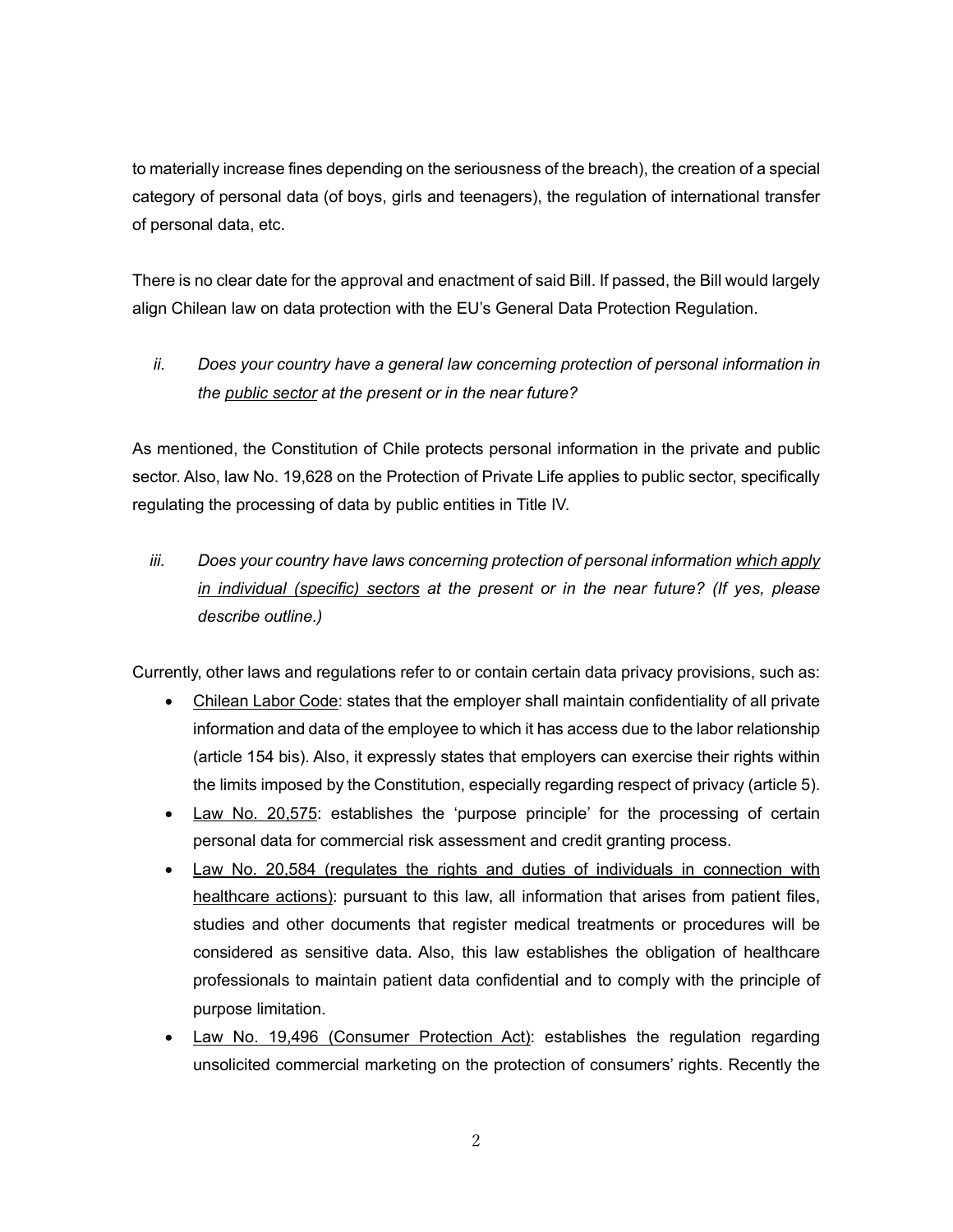to materially increase fines depending on the seriousness of the breach), the creation of a special category of personal data (of boys, girls and teenagers), the regulation of international transfer of personal data, etc.

There is no clear date for the approval and enactment of said Bill. If passed, the Bill would largely align Chilean law on data protection with the EU's General Data Protection Regulation.

# *ii. Does your country have a general law concerning protection of personal information in the public sector at the present or in the near future?*

As mentioned, the Constitution of Chile protects personal information in the private and public sector. Also, law No. 19,628 on the Protection of Private Life applies to public sector, specifically regulating the processing of data by public entities in Title IV.

*iii. Does your country have laws concerning protection of personal information which apply in individual (specific) sectors at the present or in the near future? (If yes, please describe outline.)* 

Currently, other laws and regulations refer to or contain certain data privacy provisions, such as:

- Chilean Labor Code: states that the employer shall maintain confidentiality of all private information and data of the employee to which it has access due to the labor relationship (article 154 bis). Also, it expressly states that employers can exercise their rights within the limits imposed by the Constitution, especially regarding respect of privacy (article 5).
- Law No. 20,575: establishes the 'purpose principle' for the processing of certain personal data for commercial risk assessment and credit granting process.
- Law No. 20,584 (regulates the rights and duties of individuals in connection with healthcare actions): pursuant to this law, all information that arises from patient files, studies and other documents that register medical treatments or procedures will be considered as sensitive data. Also, this law establishes the obligation of healthcare professionals to maintain patient data confidential and to comply with the principle of purpose limitation.
- Law No. 19,496 (Consumer Protection Act): establishes the regulation regarding unsolicited commercial marketing on the protection of consumers' rights. Recently the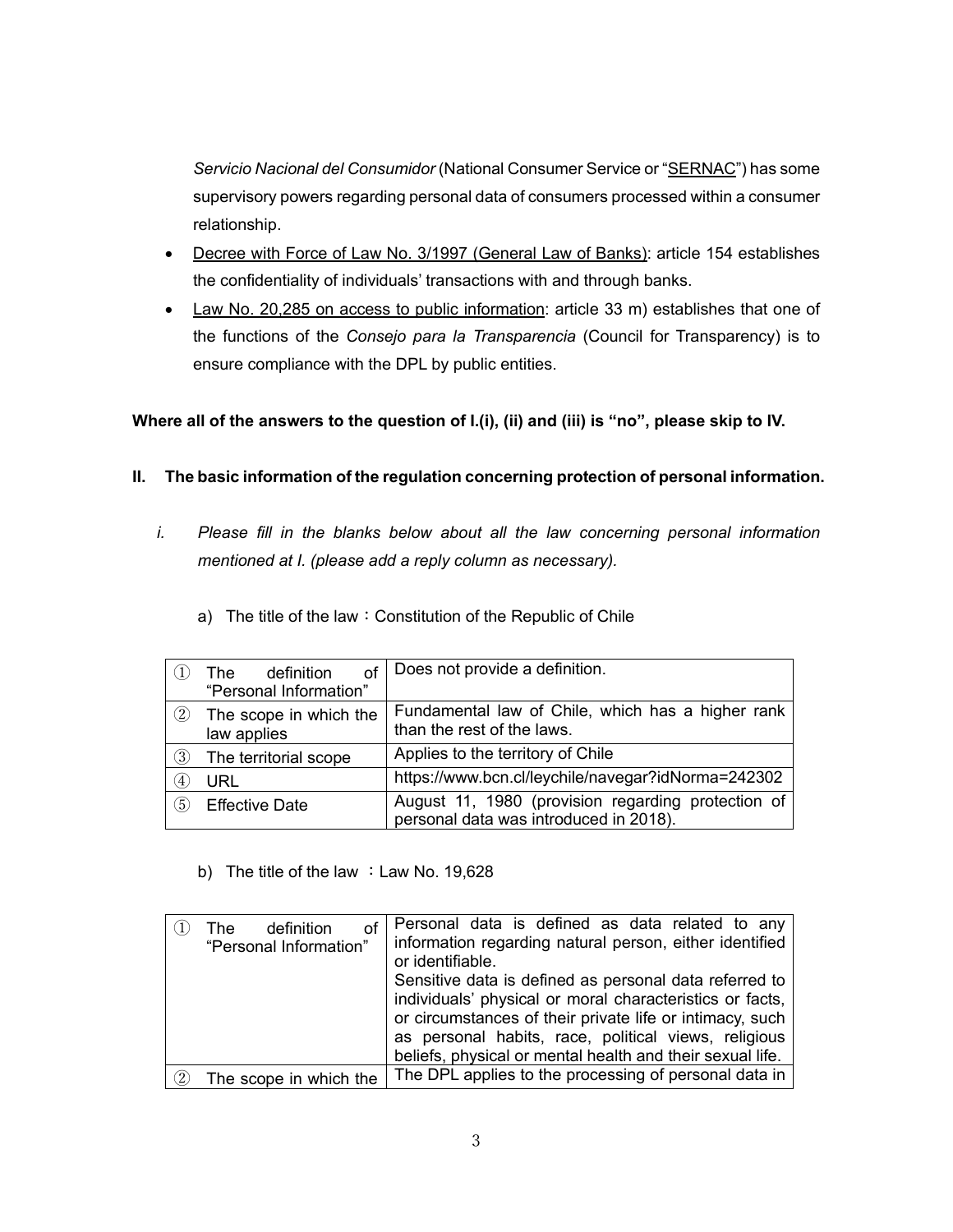*Servicio Nacional del Consumidor* (National Consumer Service or "SERNAC") has some supervisory powers regarding personal data of consumers processed within a consumer relationship.

- Decree with Force of Law No. 3/1997 (General Law of Banks): article 154 establishes the confidentiality of individuals' transactions with and through banks.
- Law No. 20,285 on access to public information: article 33 m) establishes that one of the functions of the *Consejo para la Transparencia* (Council for Transparency) is to ensure compliance with the DPL by public entities.

# **Where all of the answers to the question of I.(i), (ii) and (iii) is "no", please skip to IV.**

# **II. The basic information of the regulation concerning protection of personal information.**

- *i. Please fill in the blanks below about all the law concerning personal information mentioned at I. (please add a reply column as necessary).* 
	- a) The title of the law: Constitution of the Republic of Chile

|                   | οf<br>definition<br>The T             | Does not provide a definition.                                                               |
|-------------------|---------------------------------------|----------------------------------------------------------------------------------------------|
|                   | "Personal Information"                |                                                                                              |
| $\left( 2\right)$ | The scope in which the<br>law applies | Fundamental law of Chile, which has a higher rank<br>than the rest of the laws.              |
| (3)               | The territorial scope                 | Applies to the territory of Chile                                                            |
| $\left(4\right)$  | URL                                   | https://www.bcn.cl/leychile/navegar?idNorma=242302                                           |
| (5)               | <b>Effective Date</b>                 | August 11, 1980 (provision regarding protection of<br>personal data was introduced in 2018). |

b) The title of the law : Law No. 19,628

| οf<br>definition<br>The<br>"Personal Information" | Personal data is defined as data related to any<br>information regarding natural person, either identified<br>or identifiable.<br>Sensitive data is defined as personal data referred to<br>individuals' physical or moral characteristics or facts,<br>or circumstances of their private life or intimacy, such<br>as personal habits, race, political views, religious<br>beliefs, physical or mental health and their sexual life. |
|---------------------------------------------------|---------------------------------------------------------------------------------------------------------------------------------------------------------------------------------------------------------------------------------------------------------------------------------------------------------------------------------------------------------------------------------------------------------------------------------------|
| The scope in which the                            | The DPL applies to the processing of personal data in                                                                                                                                                                                                                                                                                                                                                                                 |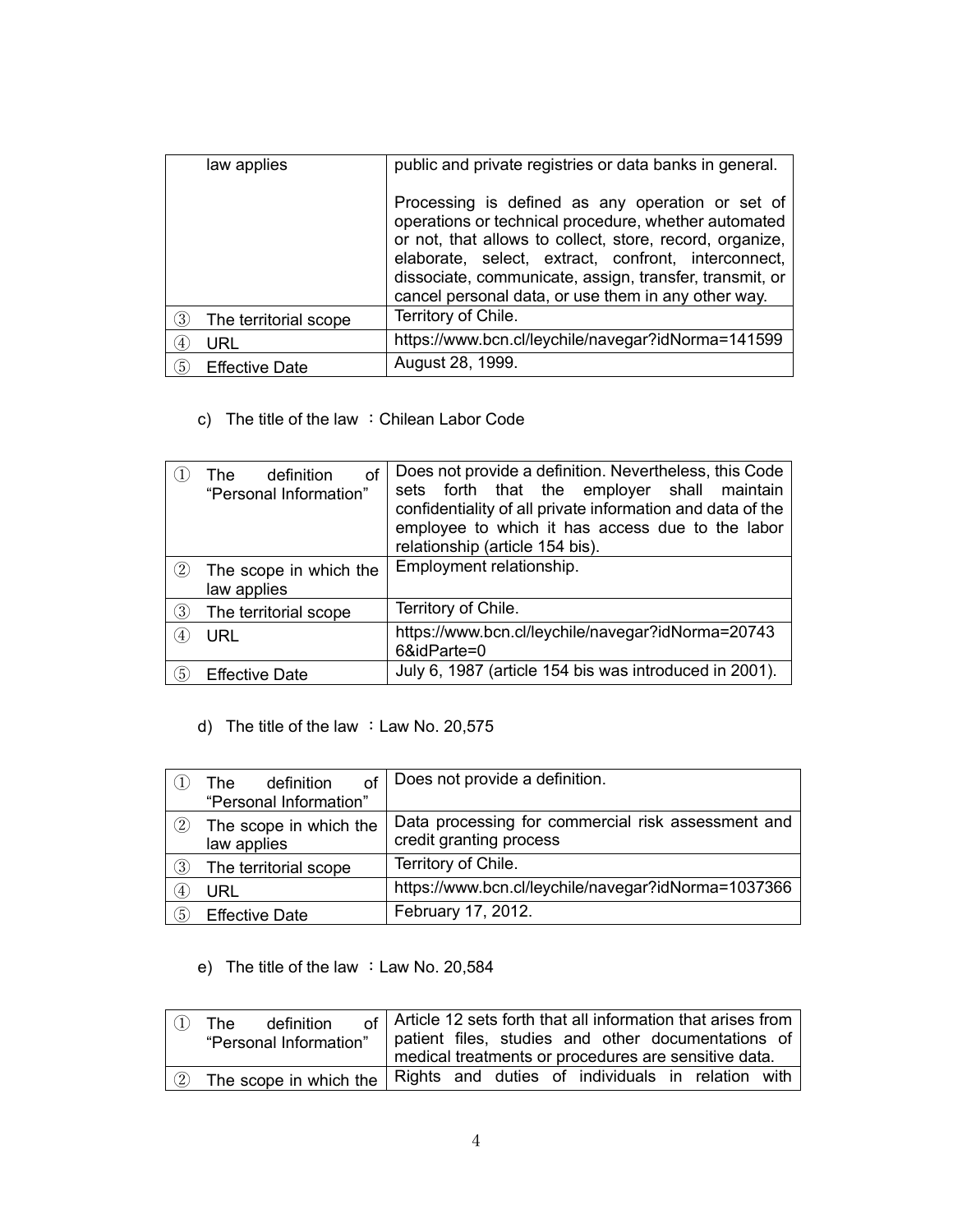| law applies                                | public and private registries or data banks in general.                                                                                                                                                                                                                                                                                       |
|--------------------------------------------|-----------------------------------------------------------------------------------------------------------------------------------------------------------------------------------------------------------------------------------------------------------------------------------------------------------------------------------------------|
|                                            | Processing is defined as any operation or set of<br>operations or technical procedure, whether automated<br>or not, that allows to collect, store, record, organize,<br>elaborate, select, extract, confront, interconnect,<br>dissociate, communicate, assign, transfer, transmit, or<br>cancel personal data, or use them in any other way. |
| $\left( 3\right)$<br>The territorial scope | Territory of Chile.                                                                                                                                                                                                                                                                                                                           |
| URL<br>(4)                                 | https://www.bcn.cl/leychile/navegar?idNorma=141599                                                                                                                                                                                                                                                                                            |
| (5)<br><b>Effective Date</b>               | August 28, 1999.                                                                                                                                                                                                                                                                                                                              |

c) The title of the law : Chilean Labor Code

|                  | definition<br>οf<br>The<br>"Personal Information" | Does not provide a definition. Nevertheless, this Code<br>sets forth that the employer shall maintain<br>confidentiality of all private information and data of the<br>employee to which it has access due to the labor<br>relationship (article 154 bis). |
|------------------|---------------------------------------------------|------------------------------------------------------------------------------------------------------------------------------------------------------------------------------------------------------------------------------------------------------------|
| $\rm(2)$         | The scope in which the<br>law applies             | Employment relationship.                                                                                                                                                                                                                                   |
| 3                | The territorial scope                             | Territory of Chile.                                                                                                                                                                                                                                        |
| $\overline{4}$   | URL                                               | https://www.bcn.cl/leychile/navegar?idNorma=20743<br>6&idParte=0                                                                                                                                                                                           |
| $\left(5\right)$ | <b>Effective Date</b>                             | July 6, 1987 (article 154 bis was introduced in 2001).                                                                                                                                                                                                     |

d) The title of the law : Law No. 20,575

|                   | definition<br>of<br>The               | Does not provide a definition.                                                |
|-------------------|---------------------------------------|-------------------------------------------------------------------------------|
|                   | "Personal Information"                |                                                                               |
| $\left( 2\right)$ | The scope in which the<br>law applies | Data processing for commercial risk assessment and<br>credit granting process |
| ③                 | The territorial scope                 | Territory of Chile.                                                           |
| $\left(4\right)$  | URL                                   | https://www.bcn.cl/leychile/navegar?idNorma=1037366                           |
| (5)               | <b>Effective Date</b>                 | February 17, 2012.                                                            |

e) The title of the law : Law No. 20,584

|                     | definition<br>The<br>"Personal Information"                                |  |  | of   Article 12 sets forth that all information that arises from<br>patient files, studies and other documentations of<br>medical treatments or procedures are sensitive data. |  |  |
|---------------------|----------------------------------------------------------------------------|--|--|--------------------------------------------------------------------------------------------------------------------------------------------------------------------------------|--|--|
| $\langle 2 \rangle$ | The scope in which the   Rights and duties of individuals in relation with |  |  |                                                                                                                                                                                |  |  |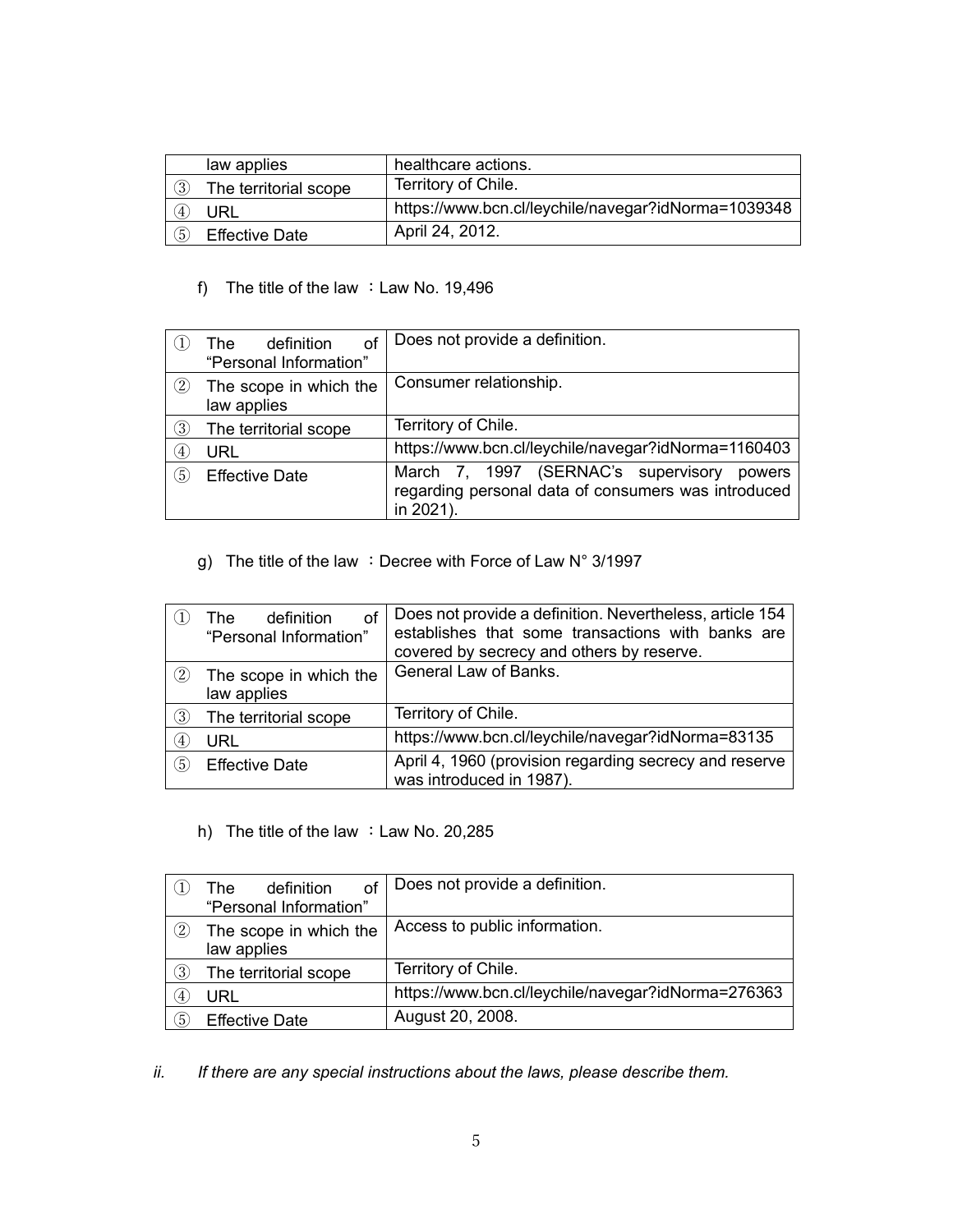|                  | law applies           | healthcare actions.                                 |
|------------------|-----------------------|-----------------------------------------------------|
| 3)               | The territorial scope | Territory of Chile.                                 |
| $\left(4\right)$ | URL                   | https://www.bcn.cl/leychile/navegar?idNorma=1039348 |
| 5                | <b>Effective Date</b> | April 24, 2012.                                     |

## f) The title of the law :Law No. 19,496

|                  | of<br>definition<br>The<br>"Personal Information" | Does not provide a definition.                                                                                 |
|------------------|---------------------------------------------------|----------------------------------------------------------------------------------------------------------------|
| $\circled{2}$    | The scope in which the<br>law applies             | Consumer relationship.                                                                                         |
| 3)               | The territorial scope                             | Territory of Chile.                                                                                            |
| $\left(4\right)$ | <b>URL</b>                                        | https://www.bcn.cl/leychile/navegar?idNorma=1160403                                                            |
| 5)               | <b>Effective Date</b>                             | March 7, 1997 (SERNAC's supervisory powers<br>regarding personal data of consumers was introduced<br>in 2021). |

g) The title of the law : Decree with Force of Law N° 3/1997

|                   | of<br>definition<br>The .<br>"Personal Information" | Does not provide a definition. Nevertheless, article 154<br>establishes that some transactions with banks are<br>covered by secrecy and others by reserve. |
|-------------------|-----------------------------------------------------|------------------------------------------------------------------------------------------------------------------------------------------------------------|
| $\left( 2\right)$ | The scope in which the<br>law applies               | General Law of Banks.                                                                                                                                      |
| $\circled{3}$     | The territorial scope                               | Territory of Chile.                                                                                                                                        |
| (4)               | <b>URL</b>                                          | https://www.bcn.cl/leychile/navegar?idNorma=83135                                                                                                          |
| $\circledS$       | <b>Effective Date</b>                               | April 4, 1960 (provision regarding secrecy and reserve<br>was introduced in 1987).                                                                         |

h) The title of the law : Law No. 20,285

|               | οf<br>definition<br>The | Does not provide a definition.                     |
|---------------|-------------------------|----------------------------------------------------|
|               | "Personal Information"  |                                                    |
| (2)           | The scope in which the  | Access to public information.                      |
|               | law applies             |                                                    |
| $\circled{3}$ | The territorial scope   | Territory of Chile.                                |
| (4)           | URL                     | https://www.bcn.cl/leychile/navegar?idNorma=276363 |
| $\circ$       | <b>Effective Date</b>   | August 20, 2008.                                   |

*ii. If there are any special instructions about the laws, please describe them.*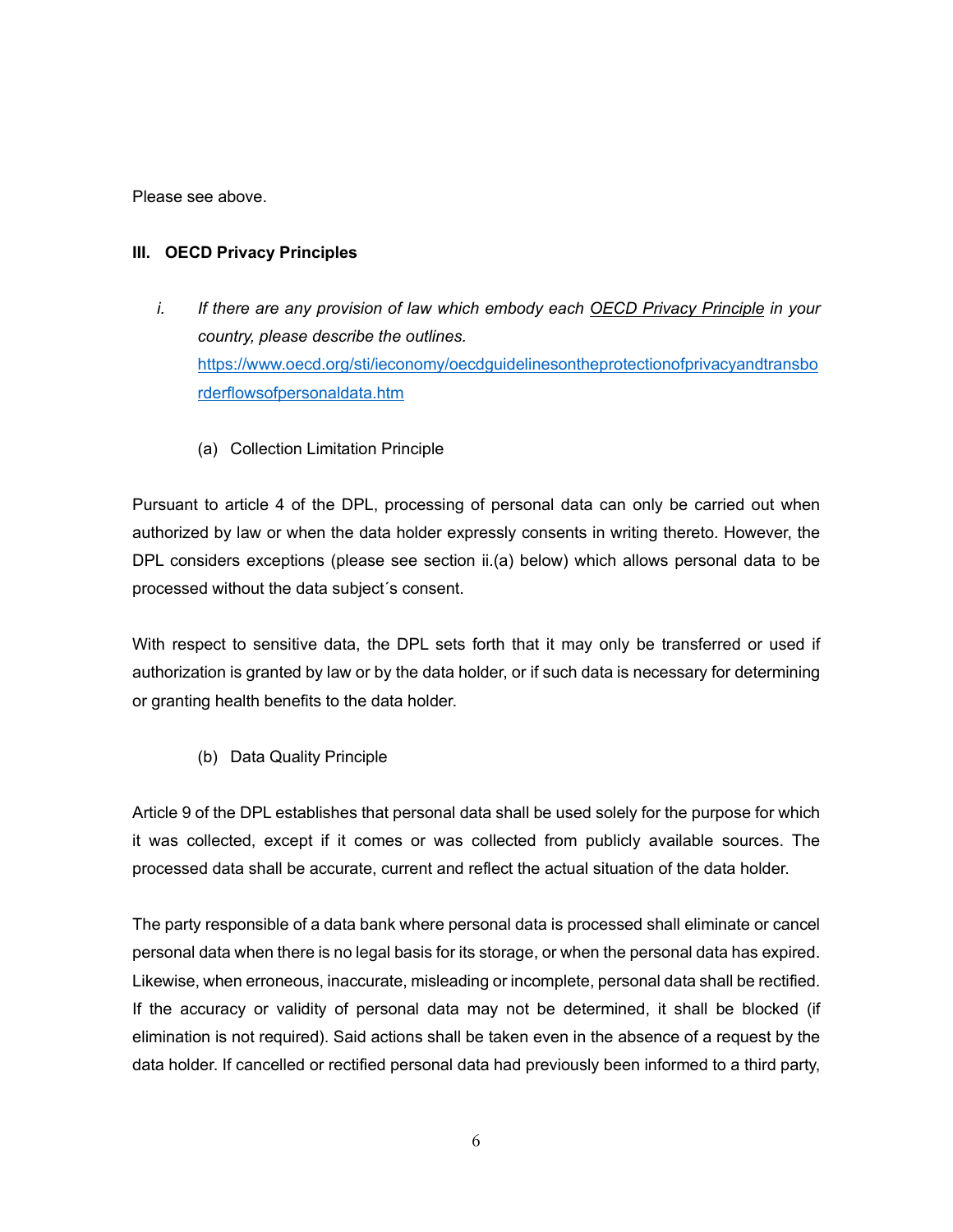Please see above.

## **III. OECD Privacy Principles**

- *i.* If there are any provision of law which embody each OECD Privacy Principle in your *country, please describe the outlines.*  [https://www.oecd.org/sti/ieconomy/oecdguidelinesontheprotectionofprivacyandtransbo](https://www.oecd.org/sti/ieconomy/oecdguidelinesontheprotectionofprivacyandtransborderflowsofpersonaldata.htm) [rderflowsofpersonaldata.htm](https://www.oecd.org/sti/ieconomy/oecdguidelinesontheprotectionofprivacyandtransborderflowsofpersonaldata.htm)
	- (a) Collection Limitation Principle

Pursuant to article 4 of the DPL, processing of personal data can only be carried out when authorized by law or when the data holder expressly consents in writing thereto. However, the DPL considers exceptions (please see section ii.(a) below) which allows personal data to be processed without the data subject´s consent.

With respect to sensitive data, the DPL sets forth that it may only be transferred or used if authorization is granted by law or by the data holder, or if such data is necessary for determining or granting health benefits to the data holder.

(b) Data Quality Principle

Article 9 of the DPL establishes that personal data shall be used solely for the purpose for which it was collected, except if it comes or was collected from publicly available sources. The processed data shall be accurate, current and reflect the actual situation of the data holder.

The party responsible of a data bank where personal data is processed shall eliminate or cancel personal data when there is no legal basis for its storage, or when the personal data has expired. Likewise, when erroneous, inaccurate, misleading or incomplete, personal data shall be rectified. If the accuracy or validity of personal data may not be determined, it shall be blocked (if elimination is not required). Said actions shall be taken even in the absence of a request by the data holder. If cancelled or rectified personal data had previously been informed to a third party,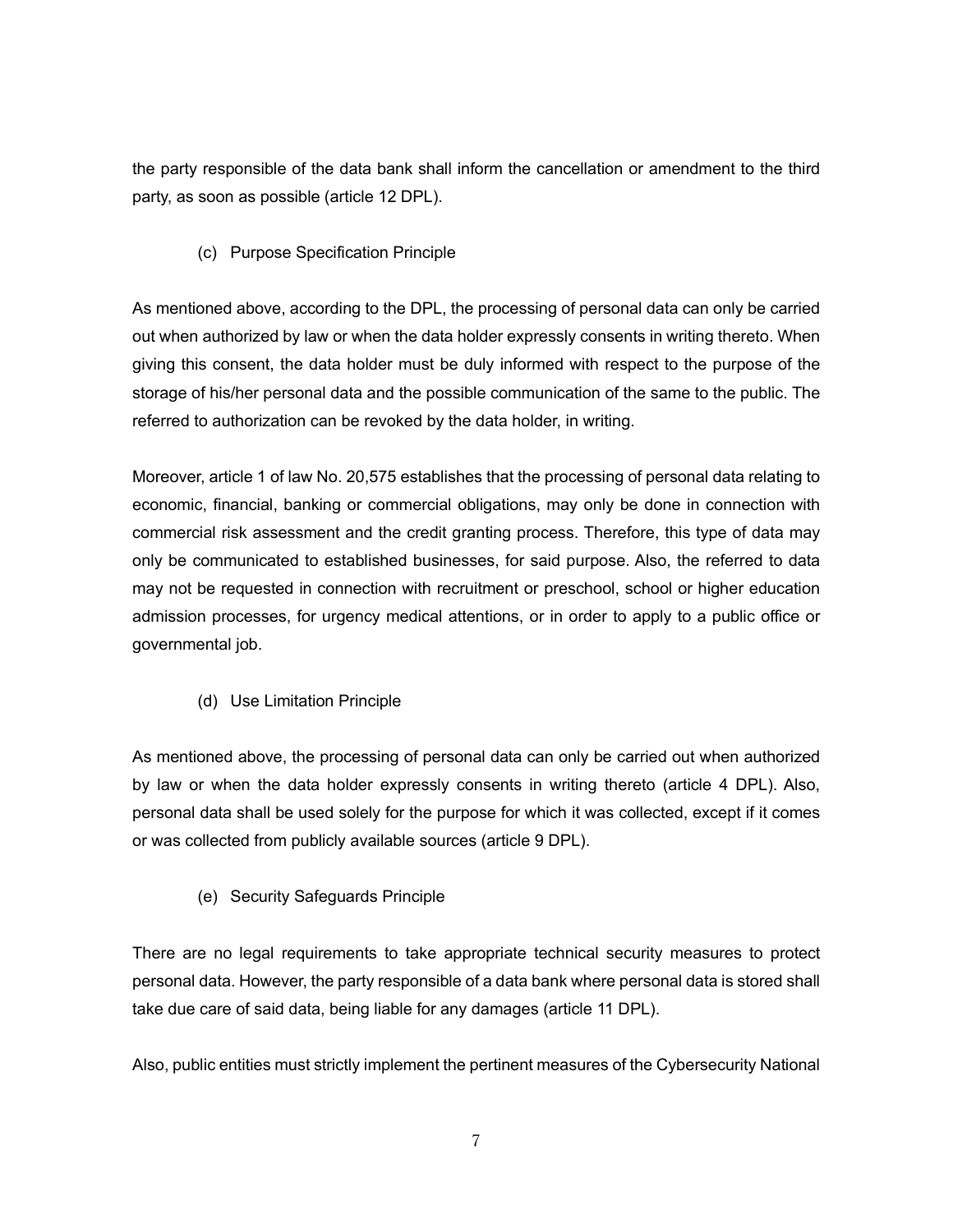the party responsible of the data bank shall inform the cancellation or amendment to the third party, as soon as possible (article 12 DPL).

(c) Purpose Specification Principle

As mentioned above, according to the DPL, the processing of personal data can only be carried out when authorized by law or when the data holder expressly consents in writing thereto. When giving this consent, the data holder must be duly informed with respect to the purpose of the storage of his/her personal data and the possible communication of the same to the public. The referred to authorization can be revoked by the data holder, in writing.

Moreover, article 1 of law No. 20,575 establishes that the processing of personal data relating to economic, financial, banking or commercial obligations, may only be done in connection with commercial risk assessment and the credit granting process. Therefore, this type of data may only be communicated to established businesses, for said purpose. Also, the referred to data may not be requested in connection with recruitment or preschool, school or higher education admission processes, for urgency medical attentions, or in order to apply to a public office or governmental job.

(d) Use Limitation Principle

As mentioned above, the processing of personal data can only be carried out when authorized by law or when the data holder expressly consents in writing thereto (article 4 DPL). Also, personal data shall be used solely for the purpose for which it was collected, except if it comes or was collected from publicly available sources (article 9 DPL).

(e) Security Safeguards Principle

There are no legal requirements to take appropriate technical security measures to protect personal data. However, the party responsible of a data bank where personal data is stored shall take due care of said data, being liable for any damages (article 11 DPL).

Also, public entities must strictly implement the pertinent measures of the Cybersecurity National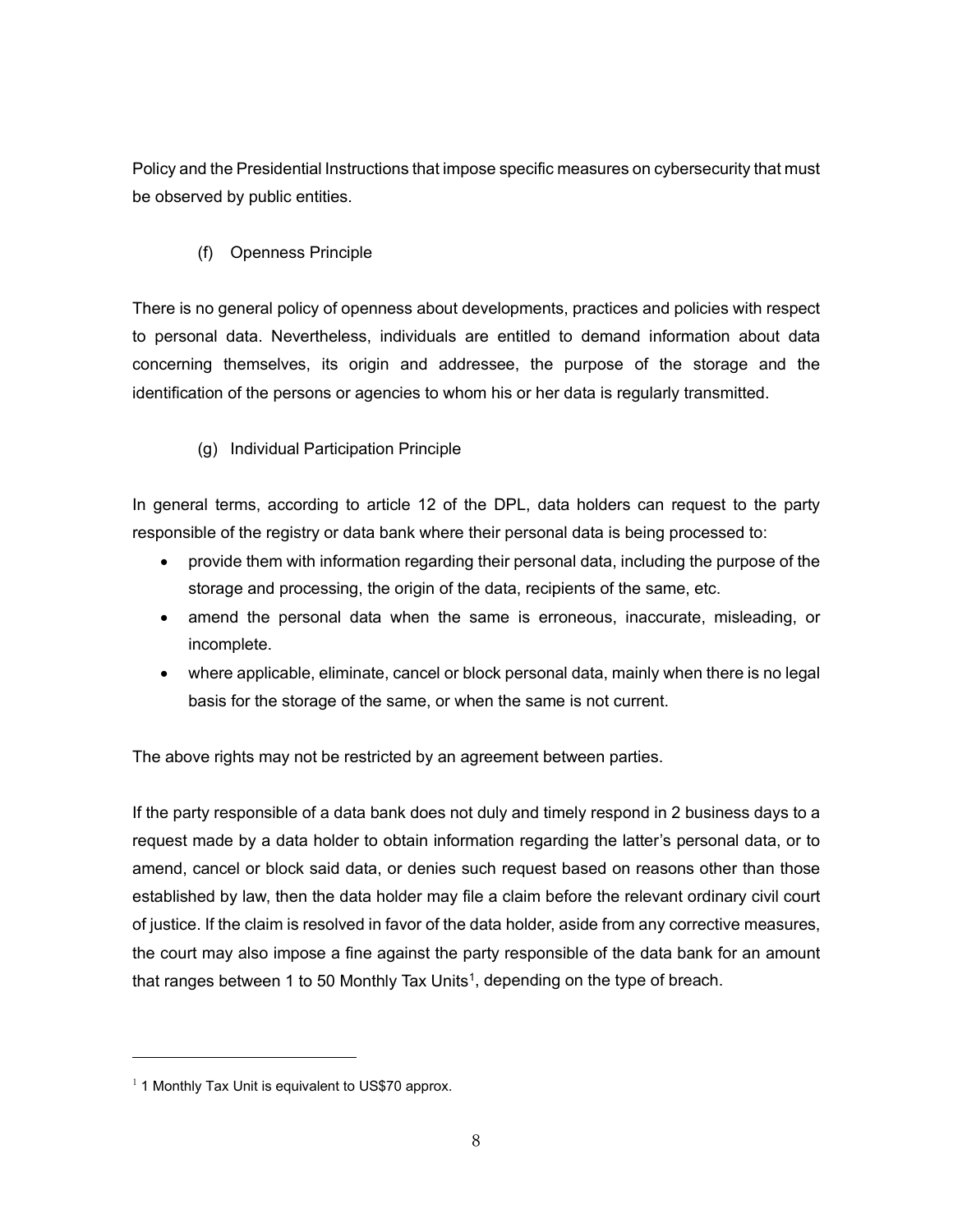Policy and the Presidential Instructions that impose specific measures on cybersecurity that must be observed by public entities.

(f) Openness Principle

There is no general policy of openness about developments, practices and policies with respect to personal data. Nevertheless, individuals are entitled to demand information about data concerning themselves, its origin and addressee, the purpose of the storage and the identification of the persons or agencies to whom his or her data is regularly transmitted.

# (g) Individual Participation Principle

In general terms, according to article 12 of the DPL, data holders can request to the party responsible of the registry or data bank where their personal data is being processed to:

- provide them with information regarding their personal data, including the purpose of the storage and processing, the origin of the data, recipients of the same, etc.
- amend the personal data when the same is erroneous, inaccurate, misleading, or incomplete.
- where applicable, eliminate, cancel or block personal data, mainly when there is no legal basis for the storage of the same, or when the same is not current.

The above rights may not be restricted by an agreement between parties.

If the party responsible of a data bank does not duly and timely respond in 2 business days to a request made by a data holder to obtain information regarding the latter's personal data, or to amend, cancel or block said data, or denies such request based on reasons other than those established by law, then the data holder may file a claim before the relevant ordinary civil court of justice. If the claim is resolved in favor of the data holder, aside from any corrective measures, the court may also impose a fine against the party responsible of the data bank for an amount that ranges between 1 to 50 Monthly Tax Units<sup>1</sup>, depending on the type of breach.

<span id="page-7-0"></span> $1$  1 Monthly Tax Unit is equivalent to US\$70 approx.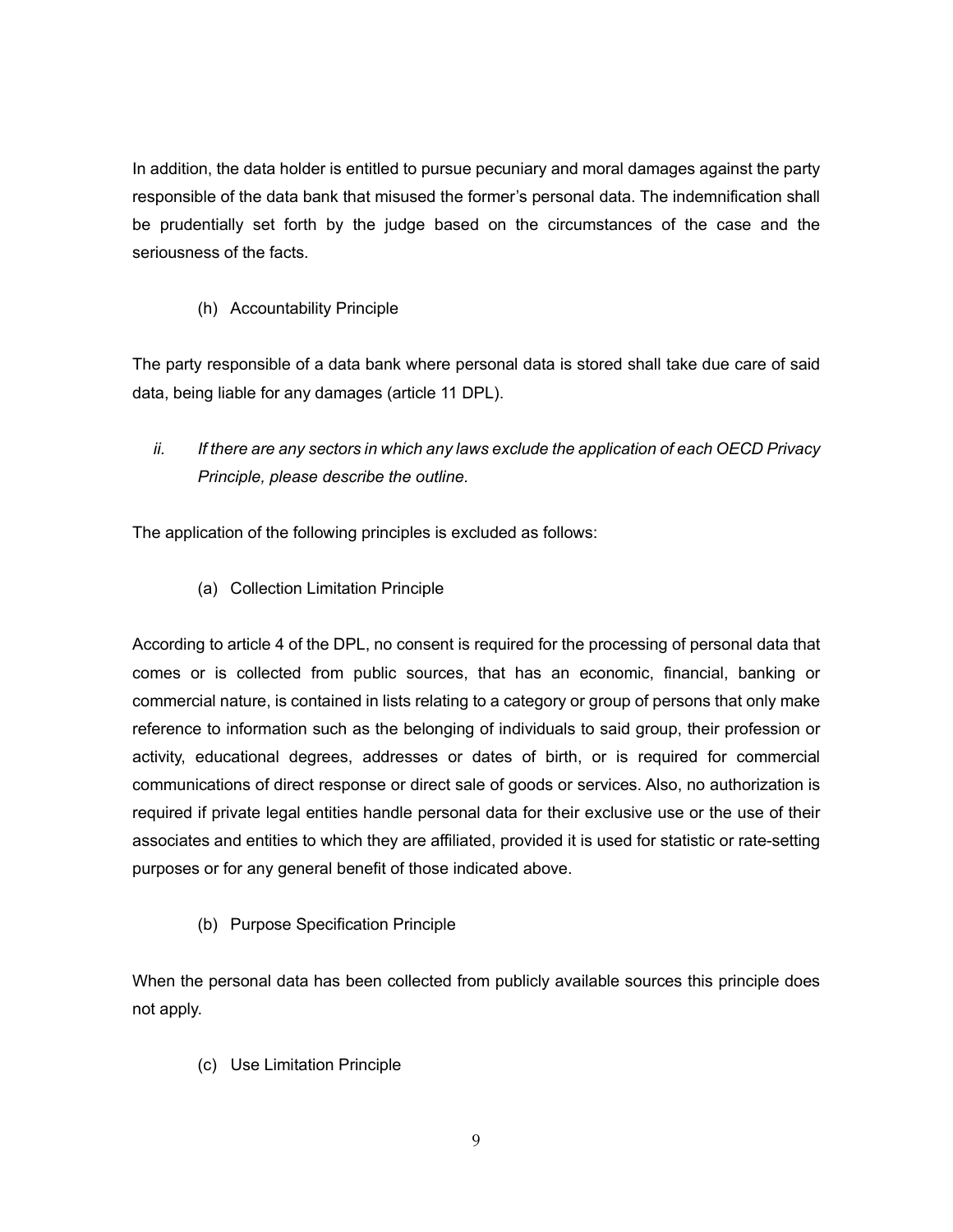In addition, the data holder is entitled to pursue pecuniary and moral damages against the party responsible of the data bank that misused the former's personal data. The indemnification shall be prudentially set forth by the judge based on the circumstances of the case and the seriousness of the facts.

# (h) Accountability Principle

The party responsible of a data bank where personal data is stored shall take due care of said data, being liable for any damages (article 11 DPL).

*ii. If there are any sectors in which any laws exclude the application of each OECD Privacy Principle, please describe the outline.*

The application of the following principles is excluded as follows:

(a) Collection Limitation Principle

According to article 4 of the DPL, no consent is required for the processing of personal data that comes or is collected from public sources, that has an economic, financial, banking or commercial nature, is contained in lists relating to a category or group of persons that only make reference to information such as the belonging of individuals to said group, their profession or activity, educational degrees, addresses or dates of birth, or is required for commercial communications of direct response or direct sale of goods or services. Also, no authorization is required if private legal entities handle personal data for their exclusive use or the use of their associates and entities to which they are affiliated, provided it is used for statistic or rate-setting purposes or for any general benefit of those indicated above.

(b) Purpose Specification Principle

When the personal data has been collected from publicly available sources this principle does not apply.

(c) Use Limitation Principle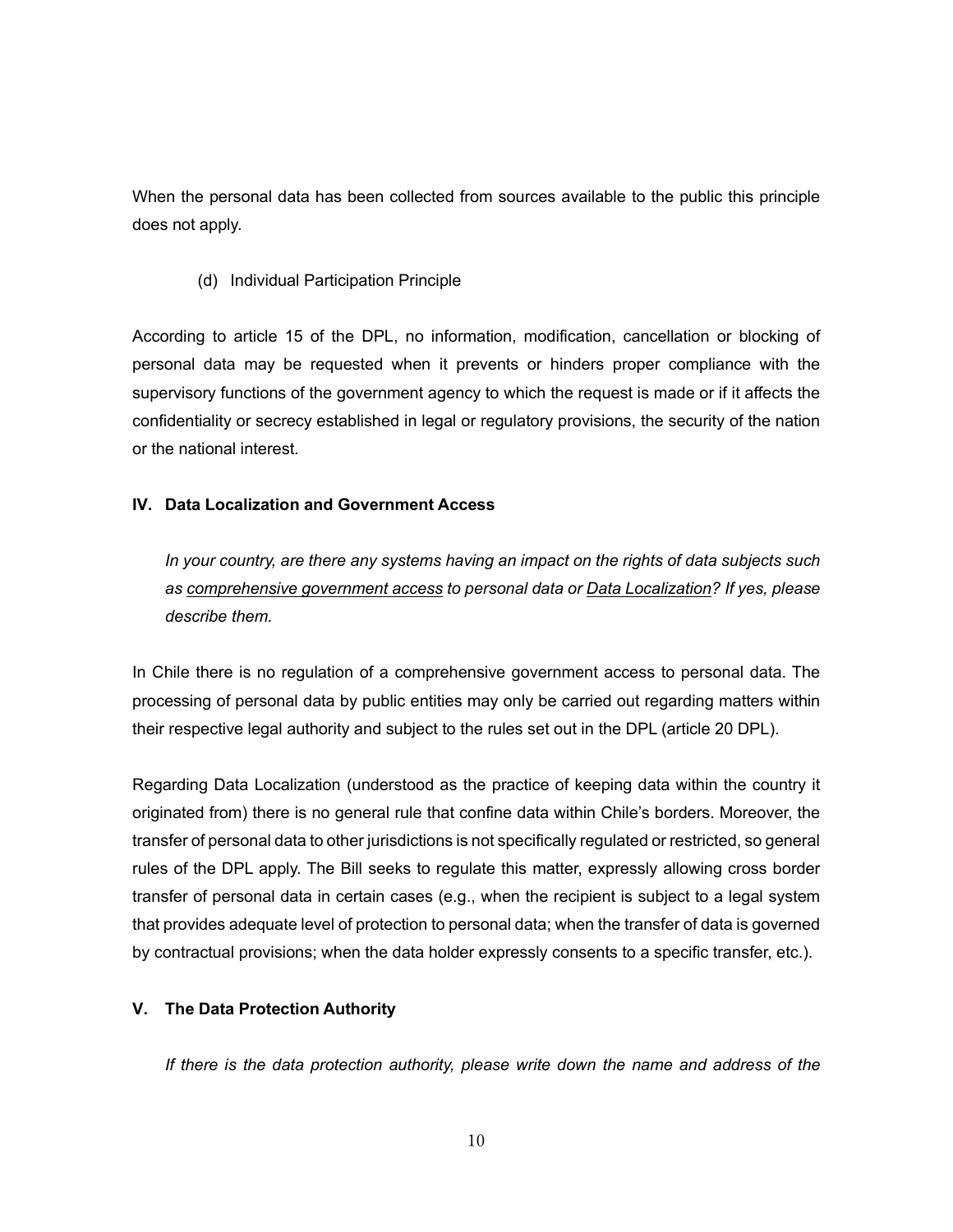When the personal data has been collected from sources available to the public this principle does not apply.

(d) Individual Participation Principle

According to article 15 of the DPL, no information, modification, cancellation or blocking of personal data may be requested when it prevents or hinders proper compliance with the supervisory functions of the government agency to which the request is made or if it affects the confidentiality or secrecy established in legal or regulatory provisions, the security of the nation or the national interest.

# **IV. Data Localization and Government Access**

*In your country, are there any systems having an impact on the rights of data subjects such as comprehensive government access to personal data or Data Localization? If yes, please describe them.* 

In Chile there is no regulation of a comprehensive government access to personal data. The processing of personal data by public entities may only be carried out regarding matters within their respective legal authority and subject to the rules set out in the DPL (article 20 DPL).

Regarding Data Localization (understood as the practice of keeping data within the country it originated from) there is no general rule that confine data within Chile's borders. Moreover, the transfer of personal data to other jurisdictions is not specifically regulated or restricted, so general rules of the DPL apply. The Bill seeks to regulate this matter, expressly allowing cross border transfer of personal data in certain cases (e.g., when the recipient is subject to a legal system that provides adequate level of protection to personal data; when the transfer of data is governed by contractual provisions; when the data holder expressly consents to a specific transfer, etc.).

## **V. The Data Protection Authority**

*If there is the data protection authority, please write down the name and address of the*